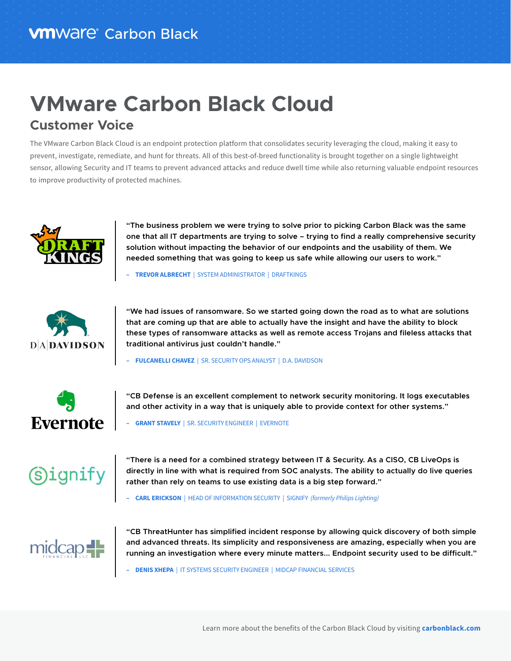## **VMware Carbon Black Cloud Customer Voice**

The VMware Carbon Black Cloud is an endpoint protection platform that consolidates security leveraging the cloud, making it easy to prevent, investigate, remediate, and hunt for threats. All of this best-of-breed functionality is brought together on a single lightweight sensor, allowing Security and IT teams to prevent advanced attacks and reduce dwell time while also returning valuable endpoint resources to improve productivity of protected machines.



**"The business problem we were trying to solve prior to picking Carbon Black was the same one that all IT departments are trying to solve – trying to find a really comprehensive security solution without impacting the behavior of our endpoints and the usability of them. We needed something that was going to keep us safe while allowing our users to work."**

**– TREVOR ALBRECHT** | SYSTEM ADMINISTRATOR | DRAFTKINGS



**"We had issues of ransomware. So we started going down the road as to what are solutions that are coming up that are able to actually have the insight and have the ability to block these types of ransomware attacks as well as remote access Trojans and fileless attacks that traditional antivirus just couldn't handle."**

**– FULCANELLI CHAVEZ** | SR. SECURITY OPS ANALYST | D.A. DAVIDSON



**"CB Defense is an excellent complement to network security monitoring. It logs executables and other activity in a way that is uniquely able to provide context for other systems."**

**– GRANT STAVELY** | SR. SECURITY ENGINEER| EVERNOTE



**"There is a need for a combined strategy between IT & Security. As a CISO, CB LiveOps is directly in line with what is required from SOC analysts. The ability to actually do live queries rather than rely on teams to use existing data is a big step forward."**

**– CARL ERICKSON** | HEAD OF INFORMATION SECURITY| SIGNIFY *(formerly Philips Lighting)*



**"CB ThreatHunter has simplified incident response by allowing quick discovery of both simple and advanced threats. Its simplicity and responsiveness are amazing, especially when you are running an investigation where every minute matters... Endpoint security used to be difficult."**

**– DENIS XHEPA** | IT SYSTEMS SECURITY ENGINEER| MIDCAP FINANCIAL SERVICES